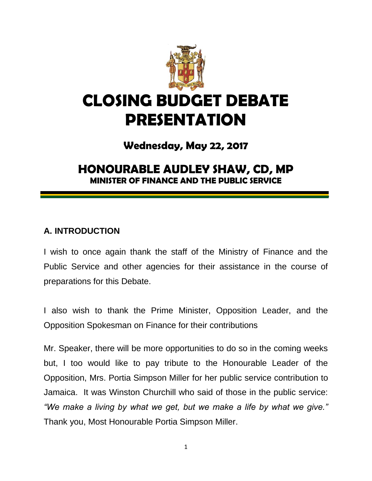

# **CLOSING BUDGET DEBATE PRESENTATION**

# **Wednesday, May 22, 2017**

# **HONOURABLE AUDLEY SHAW, CD, MP MINISTER OF FINANCE AND THE PUBLIC SERVICE**

#### **A. INTRODUCTION**

I wish to once again thank the staff of the Ministry of Finance and the Public Service and other agencies for their assistance in the course of preparations for this Debate.

I also wish to thank the Prime Minister, Opposition Leader, and the Opposition Spokesman on Finance for their contributions

Mr. Speaker, there will be more opportunities to do so in the coming weeks but, I too would like to pay tribute to the Honourable Leader of the Opposition, Mrs. Portia Simpson Miller for her public service contribution to Jamaica. It was Winston Churchill who said of those in the public service: *"We make a living by what we get, but we make a life by what we give."*  Thank you, Most Honourable Portia Simpson Miller.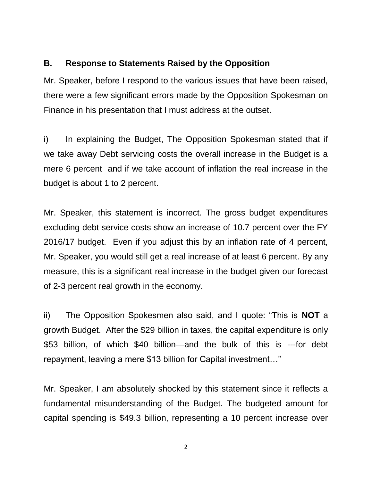#### **B. Response to Statements Raised by the Opposition**

Mr. Speaker, before I respond to the various issues that have been raised, there were a few significant errors made by the Opposition Spokesman on Finance in his presentation that I must address at the outset.

i) In explaining the Budget, The Opposition Spokesman stated that if we take away Debt servicing costs the overall increase in the Budget is a mere 6 percent and if we take account of inflation the real increase in the budget is about 1 to 2 percent.

Mr. Speaker, this statement is incorrect. The gross budget expenditures excluding debt service costs show an increase of 10.7 percent over the FY 2016/17 budget. Even if you adjust this by an inflation rate of 4 percent, Mr. Speaker, you would still get a real increase of at least 6 percent. By any measure, this is a significant real increase in the budget given our forecast of 2-3 percent real growth in the economy.

ii) The Opposition Spokesmen also said, and I quote: "This is **NOT** a growth Budget. After the \$29 billion in taxes, the capital expenditure is only \$53 billion, of which \$40 billion—and the bulk of this is ---for debt repayment, leaving a mere \$13 billion for Capital investment…"

Mr. Speaker, I am absolutely shocked by this statement since it reflects a fundamental misunderstanding of the Budget. The budgeted amount for capital spending is \$49.3 billion, representing a 10 percent increase over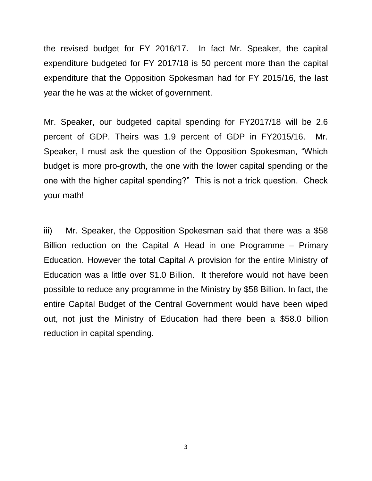the revised budget for FY 2016/17. In fact Mr. Speaker, the capital expenditure budgeted for FY 2017/18 is 50 percent more than the capital expenditure that the Opposition Spokesman had for FY 2015/16, the last year the he was at the wicket of government.

Mr. Speaker, our budgeted capital spending for FY2017/18 will be 2.6 percent of GDP. Theirs was 1.9 percent of GDP in FY2015/16. Mr. Speaker, I must ask the question of the Opposition Spokesman, "Which budget is more pro-growth, the one with the lower capital spending or the one with the higher capital spending?" This is not a trick question. Check your math!

iii) Mr. Speaker, the Opposition Spokesman said that there was a \$58 Billion reduction on the Capital A Head in one Programme – Primary Education. However the total Capital A provision for the entire Ministry of Education was a little over \$1.0 Billion. It therefore would not have been possible to reduce any programme in the Ministry by \$58 Billion. In fact, the entire Capital Budget of the Central Government would have been wiped out, not just the Ministry of Education had there been a \$58.0 billion reduction in capital spending.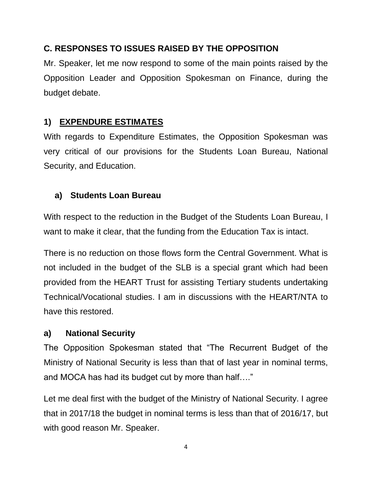### **C. RESPONSES TO ISSUES RAISED BY THE OPPOSITION**

Mr. Speaker, let me now respond to some of the main points raised by the Opposition Leader and Opposition Spokesman on Finance, during the budget debate.

#### **1) EXPENDURE ESTIMATES**

With regards to Expenditure Estimates, the Opposition Spokesman was very critical of our provisions for the Students Loan Bureau, National Security, and Education.

#### **a) Students Loan Bureau**

With respect to the reduction in the Budget of the Students Loan Bureau, I want to make it clear, that the funding from the Education Tax is intact.

There is no reduction on those flows form the Central Government. What is not included in the budget of the SLB is a special grant which had been provided from the HEART Trust for assisting Tertiary students undertaking Technical/Vocational studies. I am in discussions with the HEART/NTA to have this restored.

#### **a) National Security**

The Opposition Spokesman stated that "The Recurrent Budget of the Ministry of National Security is less than that of last year in nominal terms, and MOCA has had its budget cut by more than half…."

Let me deal first with the budget of the Ministry of National Security. I agree that in 2017/18 the budget in nominal terms is less than that of 2016/17, but with good reason Mr. Speaker.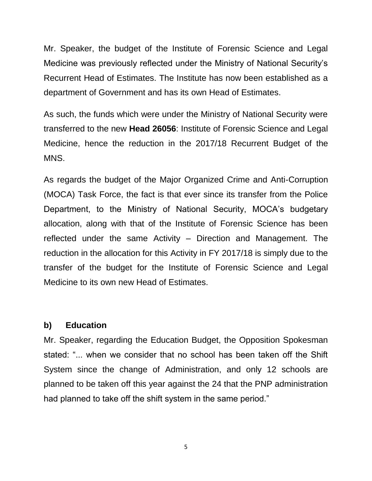Mr. Speaker, the budget of the Institute of Forensic Science and Legal Medicine was previously reflected under the Ministry of National Security's Recurrent Head of Estimates. The Institute has now been established as a department of Government and has its own Head of Estimates.

As such, the funds which were under the Ministry of National Security were transferred to the new **Head 26056**: Institute of Forensic Science and Legal Medicine, hence the reduction in the 2017/18 Recurrent Budget of the MNS.

As regards the budget of the Major Organized Crime and Anti-Corruption (MOCA) Task Force, the fact is that ever since its transfer from the Police Department, to the Ministry of National Security, MOCA's budgetary allocation, along with that of the Institute of Forensic Science has been reflected under the same Activity – Direction and Management. The reduction in the allocation for this Activity in FY 2017/18 is simply due to the transfer of the budget for the Institute of Forensic Science and Legal Medicine to its own new Head of Estimates.

#### **b) Education**

Mr. Speaker, regarding the Education Budget, the Opposition Spokesman stated: "... when we consider that no school has been taken off the Shift System since the change of Administration, and only 12 schools are planned to be taken off this year against the 24 that the PNP administration had planned to take off the shift system in the same period."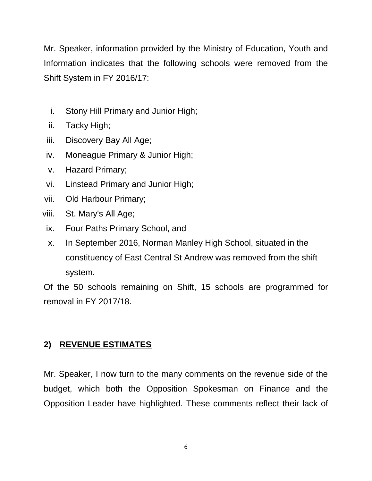Mr. Speaker, information provided by the Ministry of Education, Youth and Information indicates that the following schools were removed from the Shift System in FY 2016/17:

- i. Stony Hill Primary and Junior High;
- ii. Tacky High;
- iii. Discovery Bay All Age;
- iv. Moneague Primary & Junior High;
- v. Hazard Primary;
- vi. Linstead Primary and Junior High;
- vii. Old Harbour Primary;
- viii. St. Mary's All Age;
- ix. Four Paths Primary School, and
- x. In September 2016, Norman Manley High School, situated in the constituency of East Central St Andrew was removed from the shift system.

Of the 50 schools remaining on Shift, 15 schools are programmed for removal in FY 2017/18.

# **2) REVENUE ESTIMATES**

Mr. Speaker, I now turn to the many comments on the revenue side of the budget, which both the Opposition Spokesman on Finance and the Opposition Leader have highlighted. These comments reflect their lack of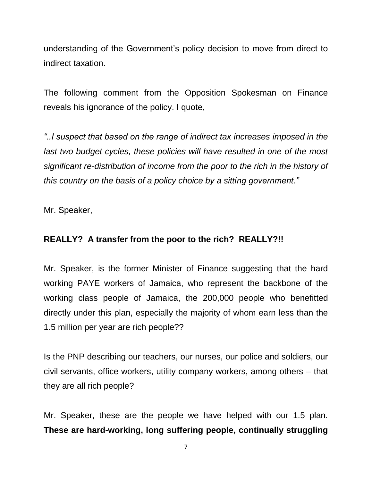understanding of the Government's policy decision to move from direct to indirect taxation.

The following comment from the Opposition Spokesman on Finance reveals his ignorance of the policy. I quote,

*"..I suspect that based on the range of indirect tax increases imposed in the*  last two budget cycles, these policies will have resulted in one of the most *significant re-distribution of income from the poor to the rich in the history of this country on the basis of a policy choice by a sitting government."*

Mr. Speaker,

#### **REALLY? A transfer from the poor to the rich? REALLY?!!**

Mr. Speaker, is the former Minister of Finance suggesting that the hard working PAYE workers of Jamaica, who represent the backbone of the working class people of Jamaica, the 200,000 people who benefitted directly under this plan, especially the majority of whom earn less than the 1.5 million per year are rich people??

Is the PNP describing our teachers, our nurses, our police and soldiers, our civil servants, office workers, utility company workers, among others – that they are all rich people?

Mr. Speaker, these are the people we have helped with our 1.5 plan. **These are hard-working, long suffering people, continually struggling**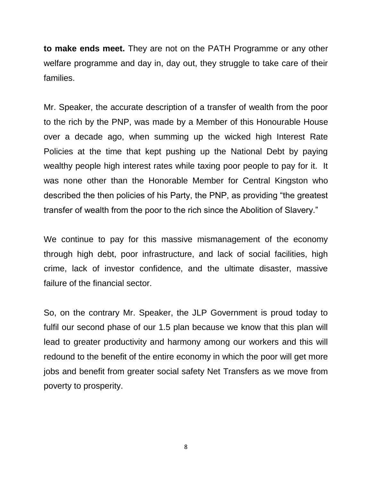**to make ends meet.** They are not on the PATH Programme or any other welfare programme and day in, day out, they struggle to take care of their families.

Mr. Speaker, the accurate description of a transfer of wealth from the poor to the rich by the PNP, was made by a Member of this Honourable House over a decade ago, when summing up the wicked high Interest Rate Policies at the time that kept pushing up the National Debt by paying wealthy people high interest rates while taxing poor people to pay for it. It was none other than the Honorable Member for Central Kingston who described the then policies of his Party, the PNP, as providing "the greatest transfer of wealth from the poor to the rich since the Abolition of Slavery."

We continue to pay for this massive mismanagement of the economy through high debt, poor infrastructure, and lack of social facilities, high crime, lack of investor confidence, and the ultimate disaster, massive failure of the financial sector.

So, on the contrary Mr. Speaker, the JLP Government is proud today to fulfil our second phase of our 1.5 plan because we know that this plan will lead to greater productivity and harmony among our workers and this will redound to the benefit of the entire economy in which the poor will get more jobs and benefit from greater social safety Net Transfers as we move from poverty to prosperity.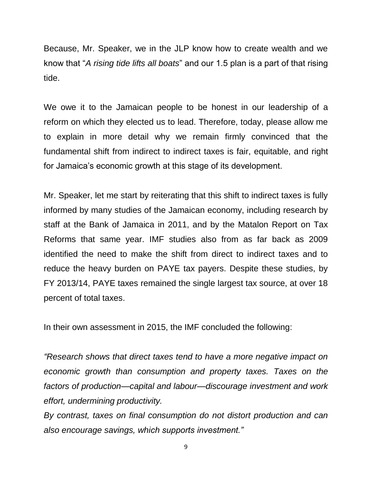Because, Mr. Speaker, we in the JLP know how to create wealth and we know that "*A rising tide lifts all boats*" and our 1.5 plan is a part of that rising tide.

We owe it to the Jamaican people to be honest in our leadership of a reform on which they elected us to lead. Therefore, today, please allow me to explain in more detail why we remain firmly convinced that the fundamental shift from indirect to indirect taxes is fair, equitable, and right for Jamaica's economic growth at this stage of its development.

Mr. Speaker, let me start by reiterating that this shift to indirect taxes is fully informed by many studies of the Jamaican economy, including research by staff at the Bank of Jamaica in 2011, and by the Matalon Report on Tax Reforms that same year. IMF studies also from as far back as 2009 identified the need to make the shift from direct to indirect taxes and to reduce the heavy burden on PAYE tax payers. Despite these studies, by FY 2013/14, PAYE taxes remained the single largest tax source, at over 18 percent of total taxes.

In their own assessment in 2015, the IMF concluded the following:

*"Research shows that direct taxes tend to have a more negative impact on economic growth than consumption and property taxes. Taxes on the factors of production—capital and labour—discourage investment and work effort, undermining productivity.* 

*By contrast, taxes on final consumption do not distort production and can also encourage savings, which supports investment."*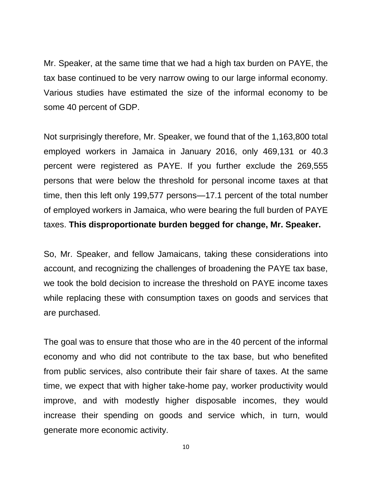Mr. Speaker, at the same time that we had a high tax burden on PAYE, the tax base continued to be very narrow owing to our large informal economy. Various studies have estimated the size of the informal economy to be some 40 percent of GDP.

Not surprisingly therefore, Mr. Speaker, we found that of the 1,163,800 total employed workers in Jamaica in January 2016, only 469,131 or 40.3 percent were registered as PAYE. If you further exclude the 269,555 persons that were below the threshold for personal income taxes at that time, then this left only 199,577 persons—17.1 percent of the total number of employed workers in Jamaica, who were bearing the full burden of PAYE taxes. **This disproportionate burden begged for change, Mr. Speaker.**

So, Mr. Speaker, and fellow Jamaicans, taking these considerations into account, and recognizing the challenges of broadening the PAYE tax base, we took the bold decision to increase the threshold on PAYE income taxes while replacing these with consumption taxes on goods and services that are purchased.

The goal was to ensure that those who are in the 40 percent of the informal economy and who did not contribute to the tax base, but who benefited from public services, also contribute their fair share of taxes. At the same time, we expect that with higher take-home pay, worker productivity would improve, and with modestly higher disposable incomes, they would increase their spending on goods and service which, in turn, would generate more economic activity.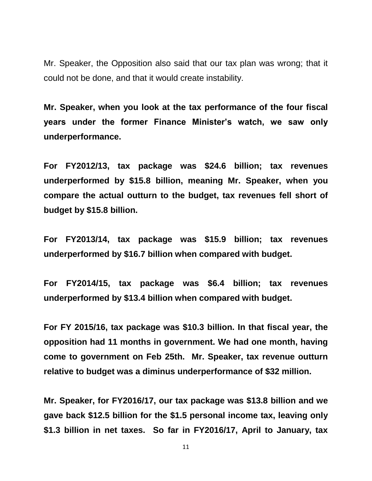Mr. Speaker, the Opposition also said that our tax plan was wrong; that it could not be done, and that it would create instability.

**Mr. Speaker, when you look at the tax performance of the four fiscal years under the former Finance Minister's watch, we saw only underperformance.** 

**For FY2012/13, tax package was \$24.6 billion; tax revenues underperformed by \$15.8 billion, meaning Mr. Speaker, when you compare the actual outturn to the budget, tax revenues fell short of budget by \$15.8 billion.** 

**For FY2013/14, tax package was \$15.9 billion; tax revenues underperformed by \$16.7 billion when compared with budget.**

**For FY2014/15, tax package was \$6.4 billion; tax revenues underperformed by \$13.4 billion when compared with budget.**

**For FY 2015/16, tax package was \$10.3 billion. In that fiscal year, the opposition had 11 months in government. We had one month, having come to government on Feb 25th. Mr. Speaker, tax revenue outturn relative to budget was a diminus underperformance of \$32 million.** 

**Mr. Speaker, for FY2016/17, our tax package was \$13.8 billion and we gave back \$12.5 billion for the \$1.5 personal income tax, leaving only \$1.3 billion in net taxes. So far in FY2016/17, April to January, tax**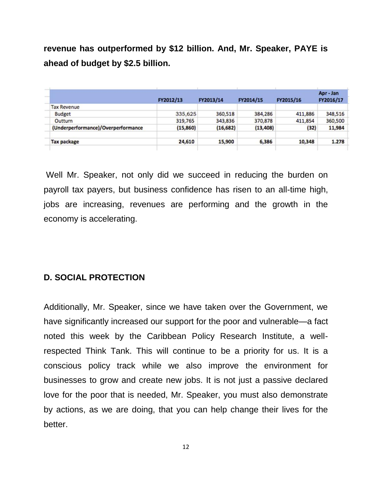**revenue has outperformed by \$12 billion. And, Mr. Speaker, PAYE is ahead of budget by \$2.5 billion.** 

|                                    | FY2012/13 | FY2013/14 | FY2014/15 | FY2015/16 | Apr - Jan<br>FY2016/17 |
|------------------------------------|-----------|-----------|-----------|-----------|------------------------|
| <b>Tax Revenue</b>                 |           |           |           |           |                        |
| <b>Budget</b>                      | 335,625   | 360,518   | 384,286   | 411,886   | 348,516                |
| Outturn                            | 319,765   | 343,836   | 370,878   | 411,854   | 360,500                |
| (Underperformance)/Overperformance | (15, 860) | (16, 682) | (13, 408) | (32)      | 11,984                 |
| <b>Tax package</b>                 | 24,610    | 15,900    | 6,386     | 10,348    | 1.278                  |

Well Mr. Speaker, not only did we succeed in reducing the burden on payroll tax payers, but business confidence has risen to an all-time high, jobs are increasing, revenues are performing and the growth in the economy is accelerating.

#### **D. SOCIAL PROTECTION**

Additionally, Mr. Speaker, since we have taken over the Government, we have significantly increased our support for the poor and vulnerable—a fact noted this week by the Caribbean Policy Research Institute, a wellrespected Think Tank. This will continue to be a priority for us. It is a conscious policy track while we also improve the environment for businesses to grow and create new jobs. It is not just a passive declared love for the poor that is needed, Mr. Speaker, you must also demonstrate by actions, as we are doing, that you can help change their lives for the better.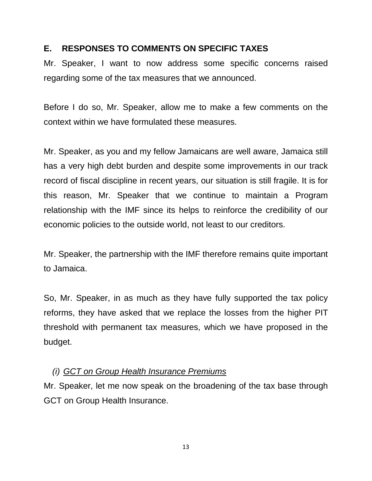#### **E. RESPONSES TO COMMENTS ON SPECIFIC TAXES**

Mr. Speaker, I want to now address some specific concerns raised regarding some of the tax measures that we announced.

Before I do so, Mr. Speaker, allow me to make a few comments on the context within we have formulated these measures.

Mr. Speaker, as you and my fellow Jamaicans are well aware, Jamaica still has a very high debt burden and despite some improvements in our track record of fiscal discipline in recent years, our situation is still fragile. It is for this reason, Mr. Speaker that we continue to maintain a Program relationship with the IMF since its helps to reinforce the credibility of our economic policies to the outside world, not least to our creditors.

Mr. Speaker, the partnership with the IMF therefore remains quite important to Jamaica.

So, Mr. Speaker, in as much as they have fully supported the tax policy reforms, they have asked that we replace the losses from the higher PIT threshold with permanent tax measures, which we have proposed in the budget.

#### *(i) GCT on Group Health Insurance Premiums*

Mr. Speaker, let me now speak on the broadening of the tax base through GCT on Group Health Insurance.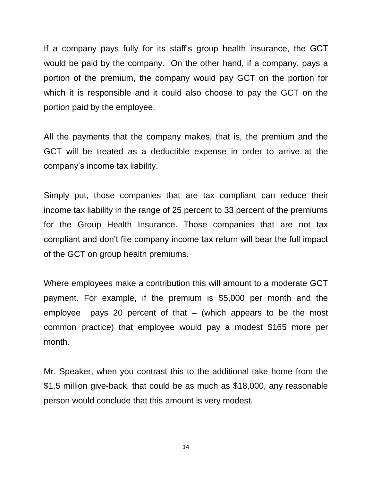If a company pays fully for its staff's group health insurance, the GCT would be paid by the company. On the other hand, if a company, pays a portion of the premium, the company would pay GCT on the portion for which it is responsible and it could also choose to pay the GCT on the portion paid by the employee.

All the payments that the company makes, that is, the premium and the GCT will be treated as a deductible expense in order to arrive at the company's income tax liability.

Simply put, those companies that are tax compliant can reduce their income tax liability in the range of 25 percent to 33 percent of the premiums for the Group Health Insurance. Those companies that are not tax compliant and don't file company income tax return will bear the full impact of the GCT on group health premiums.

Where employees make a contribution this will amount to a moderate GCT payment. For example, if the premium is \$5,000 per month and the employee pays 20 percent of that – (which appears to be the most common practice) that employee would pay a modest \$165 more per month.

Mr. Speaker, when you contrast this to the additional take home from the \$1.5 million give-back, that could be as much as \$18,000, any reasonable person would conclude that this amount is very modest.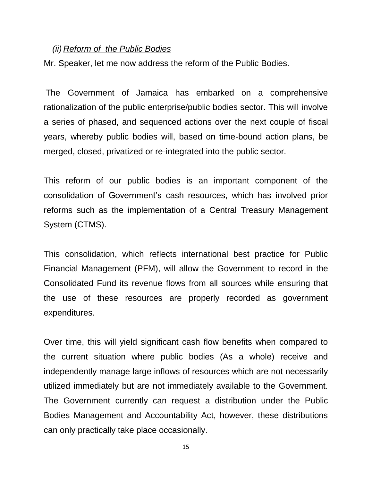#### *(ii) Reform of the Public Bodies*

Mr. Speaker, let me now address the reform of the Public Bodies.

The Government of Jamaica has embarked on a comprehensive rationalization of the public enterprise/public bodies sector. This will involve a series of phased, and sequenced actions over the next couple of fiscal years, whereby public bodies will, based on time-bound action plans, be merged, closed, privatized or re-integrated into the public sector.

This reform of our public bodies is an important component of the consolidation of Government's cash resources, which has involved prior reforms such as the implementation of a Central Treasury Management System (CTMS).

This consolidation, which reflects international best practice for Public Financial Management (PFM), will allow the Government to record in the Consolidated Fund its revenue flows from all sources while ensuring that the use of these resources are properly recorded as government expenditures.

Over time, this will yield significant cash flow benefits when compared to the current situation where public bodies (As a whole) receive and independently manage large inflows of resources which are not necessarily utilized immediately but are not immediately available to the Government. The Government currently can request a distribution under the Public Bodies Management and Accountability Act, however, these distributions can only practically take place occasionally.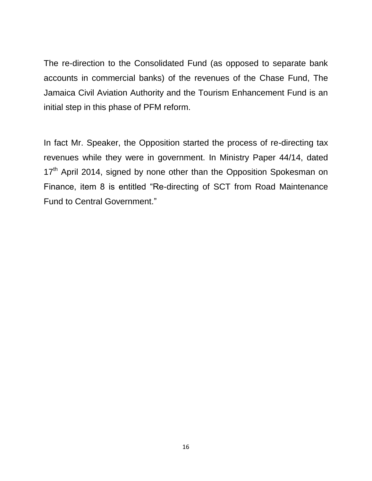The re-direction to the Consolidated Fund (as opposed to separate bank accounts in commercial banks) of the revenues of the Chase Fund, The Jamaica Civil Aviation Authority and the Tourism Enhancement Fund is an initial step in this phase of PFM reform.

In fact Mr. Speaker, the Opposition started the process of re-directing tax revenues while they were in government. In Ministry Paper 44/14, dated 17<sup>th</sup> April 2014, signed by none other than the Opposition Spokesman on Finance, item 8 is entitled "Re-directing of SCT from Road Maintenance Fund to Central Government."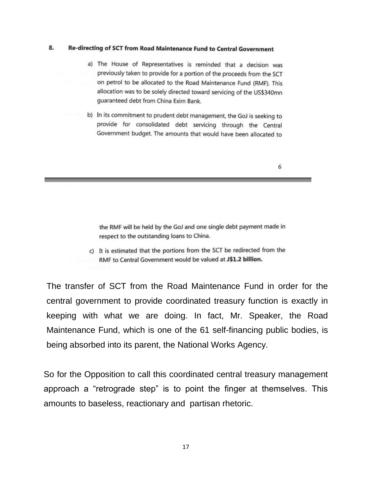#### 8. Re-directing of SCT from Road Maintenance Fund to Central Government

- a) The House of Representatives is reminded that a decision was previously taken to provide for a portion of the proceeds from the SCT on petrol to be allocated to the Road Maintenance Fund (RMF). This allocation was to be solely directed toward servicing of the US\$340mn guaranteed debt from China Exim Bank.
- b) In its commitment to prudent debt management, the GoJ is seeking to provide for consolidated debt servicing through the Central Government budget. The amounts that would have been allocated to

6

the RMF will be held by the GoJ and one single debt payment made in respect to the outstanding loans to China.

c) It is estimated that the portions from the SCT be redirected from the RMF to Central Government would be valued at J\$1.2 billion.

The transfer of SCT from the Road Maintenance Fund in order for the central government to provide coordinated treasury function is exactly in keeping with what we are doing. In fact, Mr. Speaker, the Road Maintenance Fund, which is one of the 61 self-financing public bodies, is being absorbed into its parent, the National Works Agency.

So for the Opposition to call this coordinated central treasury management approach a "retrograde step" is to point the finger at themselves. This amounts to baseless, reactionary and partisan rhetoric.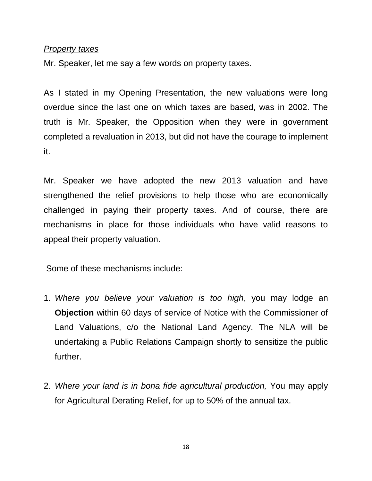#### *Property taxes*

Mr. Speaker, let me say a few words on property taxes.

As I stated in my Opening Presentation, the new valuations were long overdue since the last one on which taxes are based, was in 2002. The truth is Mr. Speaker, the Opposition when they were in government completed a revaluation in 2013, but did not have the courage to implement it.

Mr. Speaker we have adopted the new 2013 valuation and have strengthened the relief provisions to help those who are economically challenged in paying their property taxes. And of course, there are mechanisms in place for those individuals who have valid reasons to appeal their property valuation.

Some of these mechanisms include:

- 1. *Where you believe your valuation is too high*, you may lodge an **Objection** within 60 days of service of Notice with the Commissioner of Land Valuations, c/o the National Land Agency. The NLA will be undertaking a Public Relations Campaign shortly to sensitize the public further.
- 2. *Where your land is in bona fide agricultural production,* You may apply for Agricultural Derating Relief, for up to 50% of the annual tax.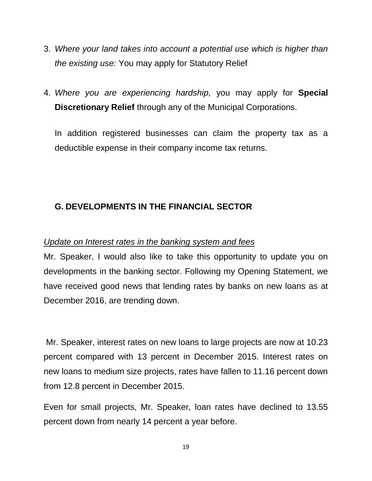- 3. *Where your land takes into account a potential use which is higher than the existing use:* You may apply for Statutory Relief
- 4. *Where you are experiencing hardship,* you may apply for **Special Discretionary Relief** through any of the Municipal Corporations.

In addition registered businesses can claim the property tax as a deductible expense in their company income tax returns.

## **G. DEVELOPMENTS IN THE FINANCIAL SECTOR**

#### *Update on Interest rates in the banking system and fees*

Mr. Speaker, I would also like to take this opportunity to update you on developments in the banking sector. Following my Opening Statement, we have received good news that lending rates by banks on new loans as at December 2016, are trending down.

Mr. Speaker, interest rates on new loans to large projects are now at 10.23 percent compared with 13 percent in December 2015. Interest rates on new loans to medium size projects, rates have fallen to 11.16 percent down from 12.8 percent in December 2015.

Even for small projects, Mr. Speaker, loan rates have declined to 13.55 percent down from nearly 14 percent a year before.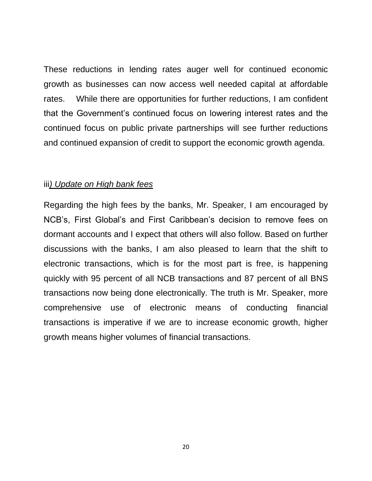These reductions in lending rates auger well for continued economic growth as businesses can now access well needed capital at affordable rates. While there are opportunities for further reductions, I am confident that the Government's continued focus on lowering interest rates and the continued focus on public private partnerships will see further reductions and continued expansion of credit to support the economic growth agenda.

#### iii*) Update on High bank fees*

Regarding the high fees by the banks, Mr. Speaker, I am encouraged by NCB's, First Global's and First Caribbean's decision to remove fees on dormant accounts and I expect that others will also follow. Based on further discussions with the banks, I am also pleased to learn that the shift to electronic transactions, which is for the most part is free, is happening quickly with 95 percent of all NCB transactions and 87 percent of all BNS transactions now being done electronically. The truth is Mr. Speaker, more comprehensive use of electronic means of conducting financial transactions is imperative if we are to increase economic growth, higher growth means higher volumes of financial transactions.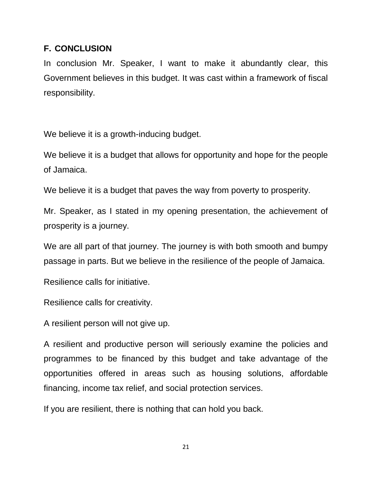#### **F. CONCLUSION**

In conclusion Mr. Speaker, I want to make it abundantly clear, this Government believes in this budget. It was cast within a framework of fiscal responsibility.

We believe it is a growth-inducing budget.

We believe it is a budget that allows for opportunity and hope for the people of Jamaica.

We believe it is a budget that paves the way from poverty to prosperity.

Mr. Speaker, as I stated in my opening presentation, the achievement of prosperity is a journey.

We are all part of that journey. The journey is with both smooth and bumpy passage in parts. But we believe in the resilience of the people of Jamaica.

Resilience calls for initiative.

Resilience calls for creativity.

A resilient person will not give up.

A resilient and productive person will seriously examine the policies and programmes to be financed by this budget and take advantage of the opportunities offered in areas such as housing solutions, affordable financing, income tax relief, and social protection services.

If you are resilient, there is nothing that can hold you back.